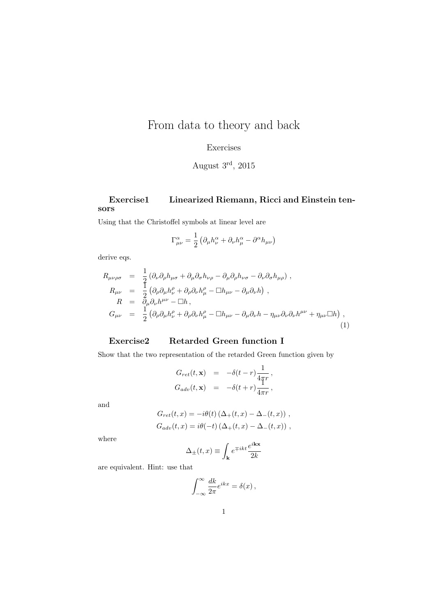# From data to theory and back

# Exercises

August 3rd, 2015

### Exercise1 Linearized Riemann, Ricci and Einstein tensors

Using that the Christoffel symbols at linear level are

$$
\Gamma^{\alpha}_{\mu\nu} = \frac{1}{2} \left( \partial_{\mu} h^{\alpha}_{\nu} + \partial_{\nu} h^{\alpha}_{\mu} - \partial^{\alpha} h_{\mu\nu} \right)
$$

derive eqs.

$$
R_{\mu\nu\rho\sigma} = \frac{1}{2} (\partial_{\nu}\partial_{\rho}h_{\mu\sigma} + \partial_{\mu}\partial_{\sigma}h_{\nu\rho} - \partial_{\mu}\partial_{\rho}h_{\nu\sigma} - \partial_{\nu}\partial_{\sigma}h_{\mu\rho}) ,
$$
  
\n
$$
R_{\mu\nu} = \frac{1}{2} (\partial_{\rho}\partial_{\mu}h^{\rho}_{\nu} + \partial_{\rho}\partial_{\nu}h^{\rho}_{\mu} - \Box h_{\mu\nu} - \partial_{\mu}\partial_{\nu}h) ,
$$
  
\n
$$
R = \partial_{\mu}\partial_{\nu}h^{\mu\nu} - \Box h ,
$$
  
\n
$$
G_{\mu\nu} = \frac{1}{2} (\partial_{\rho}\partial_{\mu}h^{\rho}_{\nu} + \partial_{\rho}\partial_{\nu}h^{\rho}_{\mu} - \Box h_{\mu\nu} - \partial_{\mu}\partial_{\nu}h - \eta_{\mu\nu}\partial_{\nu}\partial_{\nu}h^{\mu\nu} + \eta_{\mu\nu}\Box h) ,
$$
  
\n(1)

# Exercise2 Retarded Green function I

Show that the two representation of the retarded Green function given by

$$
G_{ret}(t, \mathbf{x}) = -\delta(t - r) \frac{1}{4\pi r},
$$
  
\n
$$
G_{adv}(t, \mathbf{x}) = -\delta(t + r) \frac{1}{4\pi r},
$$

and

$$
G_{ret}(t, x) = -i\theta(t) \left(\Delta_+(t, x) - \Delta_-(t, x)\right),
$$
  
\n
$$
G_{adv}(t, x) = i\theta(-t) \left(\Delta_+(t, x) - \Delta_-(t, x)\right),
$$

where

$$
\Delta_{\pm}(t,x) \equiv \int_{\mathbf{k}} e^{\mp ikt} \frac{e^{i\mathbf{kx}}}{2k}
$$

are equivalent. Hint: use that

$$
\int_{-\infty}^{\infty} \frac{dk}{2\pi} e^{ikx} = \delta(x),
$$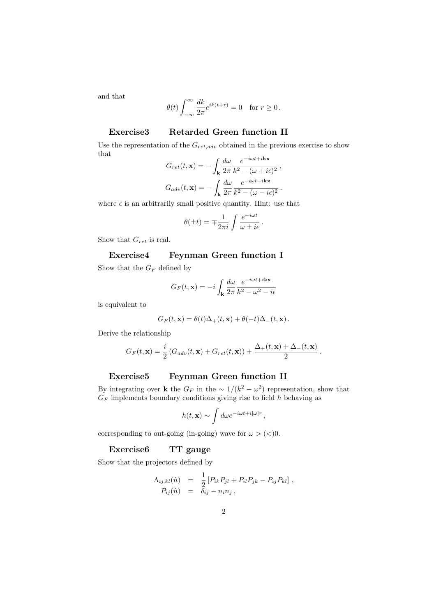and that

$$
\theta(t) \int_{-\infty}^{\infty} \frac{dk}{2\pi} e^{ik(t+r)} = 0 \text{ for } r \ge 0.
$$

# Exercise3 Retarded Green function II

Use the representation of the  $G_{ret,adv}$  obtained in the previous exercise to show that  $\mathbf{r}$   $\mathbf{r}$  $-iωt+i\mathbf{k}x$ 

$$
G_{ret}(t, \mathbf{x}) = -\int_{\mathbf{k}} \frac{d\omega}{2\pi} \frac{e^{-i\omega t + i\mathbf{k}\mathbf{x}}}{k^2 - (\omega + i\epsilon)^2},
$$

$$
G_{adv}(t, \mathbf{x}) = -\int_{\mathbf{k}} \frac{d\omega}{2\pi} \frac{e^{-i\omega t + i\mathbf{k}\mathbf{x}}}{k^2 - (\omega - i\epsilon)^2}.
$$

where  $\epsilon$  is an arbitrarily small positive quantity. Hint: use that

$$
\theta(\pm t) = \mp \frac{1}{2\pi i} \int \frac{e^{-i\omega t}}{\omega \pm i\epsilon}.
$$

Show that  $G_{ret}$  is real.

# Exercise4 Feynman Green function I

Show that the  $G_F$  defined by

$$
G_F(t, \mathbf{x}) = -i \int_{\mathbf{k}} \frac{d\omega}{2\pi} \frac{e^{-i\omega t + i\mathbf{k}\mathbf{x}}}{k^2 - \omega^2 - i\epsilon}
$$

is equivalent to

$$
G_F(t, \mathbf{x}) = \theta(t)\Delta_+(t, \mathbf{x}) + \theta(-t)\Delta_-(t, \mathbf{x}).
$$

Derive the relationship

$$
G_F(t, \mathbf{x}) = \frac{i}{2} \left( G_{adv}(t, \mathbf{x}) + G_{ret}(t, \mathbf{x}) \right) + \frac{\Delta_+(t, \mathbf{x}) + \Delta_-(t, \mathbf{x})}{2}.
$$

#### Exercise5 Feynman Green function II

By integrating over **k** the  $G_F$  in the  $\sim 1/(k^2 - \omega^2)$  representation, show that  $G_F$  implements boundary conditions giving rise to field  $h$  behaving as

$$
h(t, \mathbf{x}) \sim \int d\omega e^{-i\omega t + i|\omega| r},
$$

corresponding to out-going (in-going) wave for  $\omega$  > (<)0.

# Exercise6 TT gauge

Show that the projectors defined by

$$
\begin{array}{rcl}\n\Lambda_{ij,kl}(\hat{n}) & = & \frac{1}{2} \left[ P_{ik} P_{jl} + P_{il} P_{jk} - P_{ij} P_{kl} \right], \\
P_{ij}(\hat{n}) & = & \delta_{ij} - n_i n_j \,,\n\end{array}
$$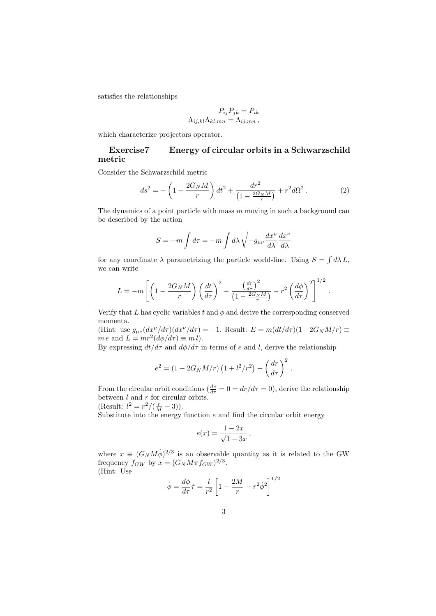satisfies the relationships

$$
P_{ij}P_{jk} = P_{ik}
$$

$$
\Lambda_{ij,kl}\Lambda_{kl,mn} = \Lambda_{ij,mn},
$$

which characterize projectors operator.

# Exercise7 Energy of circular orbits in a Schwarzschild metric

Consider the Schwarzschild metric

$$
ds^{2} = -\left(1 - \frac{2G_{N}M}{r}\right)dt^{2} + \frac{dr^{2}}{\left(1 - \frac{2G_{N}M}{r}\right)} + r^{2}d\Omega^{2}.
$$
 (2)

The dynamics of a point particle with mass  $m$  moving in such a background can be described by the action

$$
S = -m \int d\tau = -m \int d\lambda \sqrt{-g_{\mu\nu} \frac{dx^{\mu}}{d\lambda} \frac{dx^{\nu}}{d\lambda}}
$$

for any coordinate  $\lambda$  parametrizing the particle world-line. Using  $S = \int d\lambda L$ , we can write

$$
L = -m \left[ \left( 1 - \frac{2G_N M}{r} \right) \left( \frac{dt}{d\tau} \right)^2 - \frac{\left( \frac{dr}{d\tau} \right)^2}{\left( 1 - \frac{2G_N M}{r} \right)} - r^2 \left( \frac{d\phi}{d\tau} \right)^2 \right]^{1/2}.
$$

Verify that L has cyclic variables t and  $\phi$  and derive the corresponding conserved momenta.

(Hint: use  $g_{\mu\nu}(dx^{\mu}/d\tau)(dx^{\nu}/d\tau) = -1$ . Result:  $E = m(dt/d\tau)(1-2G_NM/r) \equiv$  $m e$  and  $L = mr^2(d\phi/d\tau) \equiv m l$ .

By expressing  $dt/d\tau$  and  $d\phi/d\tau$  in terms of e and l, derive the relationship

$$
e^2 = (1 - 2G_N M/r) (1 + l^2/r^2) + (\frac{dr}{d\tau})^2
$$
.

From the circular orbit conditions ( $\frac{de}{dr} = 0 = dr/d\tau = 0$ ), derive the relationship between  $l$  and  $r$  for circular orbits.

(Result:  $l^2 = r^2/(\frac{r}{M} - 3)$ ).

Substitute into the energy function  $e$  and find the circular orbit energy

$$
e(x) = \frac{1-2x}{\sqrt{1-3x}}\,
$$

where  $x \equiv (G_N M \dot{\phi})^{2/3}$  is an observable quantity as it is related to the GW frequency  $f_{GW}$  by  $x = (G_N M \pi f_{GW})^{2/3}$ .

(Hint: Use

$$
\dot{\phi} = \frac{d\phi}{d\tau}\dot{\tau} = \frac{l}{r^2} \left[1 - \frac{2M}{r} - r^2 \dot{\phi}^2\right]^{1/2}
$$